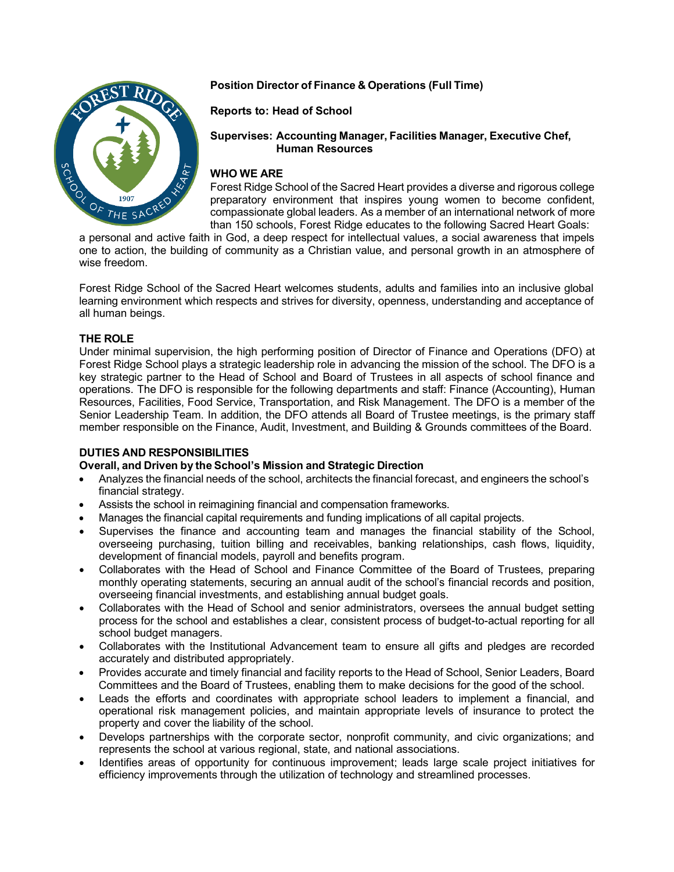# OF THE SAC

# **Position Director of Finance & Operations (Full Time)**

# **Reports to: Head of School**

## **Supervises: Accounting Manager, Facilities Manager, Executive Chef, Human Resources**

# **WHO WE ARE**

Forest Ridge School of the Sacred Heart provides a diverse and rigorous college preparatory environment that inspires young women to become confident, compassionate global leaders. As a member of an international network of more than 150 schools, Forest Ridge educates to the following Sacred Heart Goals:

a personal and active faith in God, a deep respect for intellectual values, a social awareness that impels one to action, the building of community as a Christian value, and personal growth in an atmosphere of wise freedom.

Forest Ridge School of the Sacred Heart welcomes students, adults and families into an inclusive global learning environment which respects and strives for diversity, openness, understanding and acceptance of all human beings.

# **THE ROLE**

Under minimal supervision, the high performing position of Director of Finance and Operations (DFO) at Forest Ridge School plays a strategic leadership role in advancing the mission of the school. The DFO is a key strategic partner to the Head of School and Board of Trustees in all aspects of school finance and operations. The DFO is responsible for the following departments and staff: Finance (Accounting), Human Resources, Facilities, Food Service, Transportation, and Risk Management. The DFO is a member of the Senior Leadership Team. In addition, the DFO attends all Board of Trustee meetings, is the primary staff member responsible on the Finance, Audit, Investment, and Building & Grounds committees of the Board.

## **DUTIES AND RESPONSIBILITIES**

## **Overall, and Driven by the School's Mission and Strategic Direction**

- Analyzes the financial needs of the school, architects the financial forecast, and engineers the school's financial strategy.
- Assists the school in reimagining financial and compensation frameworks.
- Manages the financial capital requirements and funding implications of all capital projects.
- Supervises the finance and accounting team and manages the financial stability of the School, overseeing purchasing, tuition billing and receivables, banking relationships, cash flows, liquidity, development of financial models, payroll and benefits program.
- Collaborates with the Head of School and Finance Committee of the Board of Trustees, preparing monthly operating statements, securing an annual audit of the school's financial records and position, overseeing financial investments, and establishing annual budget goals.
- Collaborates with the Head of School and senior administrators, oversees the annual budget setting process for the school and establishes a clear, consistent process of budget-to-actual reporting for all school budget managers.
- Collaborates with the Institutional Advancement team to ensure all gifts and pledges are recorded accurately and distributed appropriately.
- Provides accurate and timely financial and facility reports to the Head of School, Senior Leaders, Board Committees and the Board of Trustees, enabling them to make decisions for the good of the school.
- Leads the efforts and coordinates with appropriate school leaders to implement a financial, and operational risk management policies, and maintain appropriate levels of insurance to protect the property and cover the liability of the school.
- Develops partnerships with the corporate sector, nonprofit community, and civic organizations; and represents the school at various regional, state, and national associations.
- Identifies areas of opportunity for continuous improvement; leads large scale project initiatives for efficiency improvements through the utilization of technology and streamlined processes.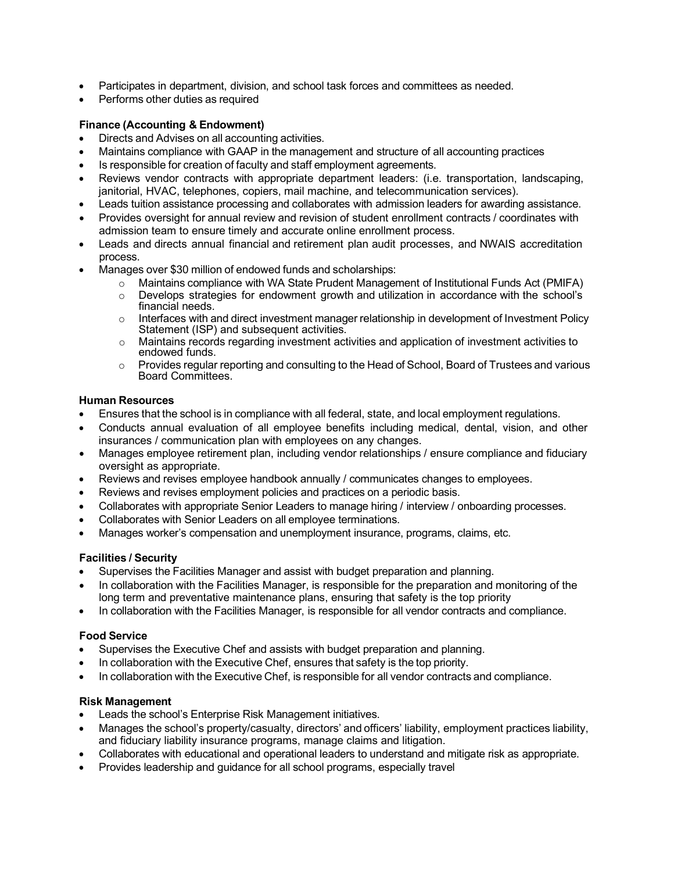- Participates in department, division, and school task forces and committees as needed.
- Performs other duties as required

### **Finance (Accounting & Endowment)**

- Directs and Advises on all accounting activities.
- Maintains compliance with GAAP in the management and structure of all accounting practices
- Is responsible for creation of faculty and staff employment agreements.
- Reviews vendor contracts with appropriate department leaders: (i.e. transportation, landscaping, janitorial, HVAC, telephones, copiers, mail machine, and telecommunication services).
- Leads tuition assistance processing and collaborates with admission leaders for awarding assistance.
- Provides oversight for annual review and revision of student enrollment contracts / coordinates with admission team to ensure timely and accurate online enrollment process.
- Leads and directs annual financial and retirement plan audit processes, and NWAIS accreditation process.
- Manages over \$30 million of endowed funds and scholarships:
	- $\circ$  Maintains compliance with WA State Prudent Management of Institutional Funds Act (PMIFA)<br>  $\circ$  Develops strategies for endowment growth and utilization in accordance with the school's
	- Develops strategies for endowment growth and utilization in accordance with the school's financial needs.
	- $\circ$  Interfaces with and direct investment manager relationship in development of Investment Policy Statement (ISP) and subsequent activities.
	- $\circ$  Maintains records regarding investment activities and application of investment activities to endowed funds.
	- $\circ$  Provides regular reporting and consulting to the Head of School, Board of Trustees and various Board Committees.

#### **Human Resources**

- Ensures that the school is in compliance with all federal, state, and local employment regulations.
- Conducts annual evaluation of all employee benefits including medical, dental, vision, and other insurances / communication plan with employees on any changes.
- Manages employee retirement plan, including vendor relationships / ensure compliance and fiduciary oversight as appropriate.
- Reviews and revises employee handbook annually / communicates changes to employees.
- Reviews and revises employment policies and practices on a periodic basis.
- Collaborates with appropriate Senior Leaders to manage hiring / interview / onboarding processes.
- Collaborates with Senior Leaders on all employee terminations.
- Manages worker's compensation and unemployment insurance, programs, claims, etc.

## **Facilities / Security**

- Supervises the Facilities Manager and assist with budget preparation and planning.
- In collaboration with the Facilities Manager, is responsible for the preparation and monitoring of the long term and preventative maintenance plans, ensuring that safety is the top priority
- In collaboration with the Facilities Manager, is responsible for all vendor contracts and compliance.

## **Food Service**

- Supervises the Executive Chef and assists with budget preparation and planning.
- In collaboration with the Executive Chef, ensures that safety is the top priority.
- In collaboration with the Executive Chef, is responsible for all vendor contracts and compliance.

#### **Risk Management**

- Leads the school's Enterprise Risk Management initiatives.
- Manages the school's property/casualty, directors' and officers' liability, employment practices liability, and fiduciary liability insurance programs, manage claims and litigation.
- Collaborates with educational and operational leaders to understand and mitigate risk as appropriate.
- Provides leadership and guidance for all school programs, especially travel